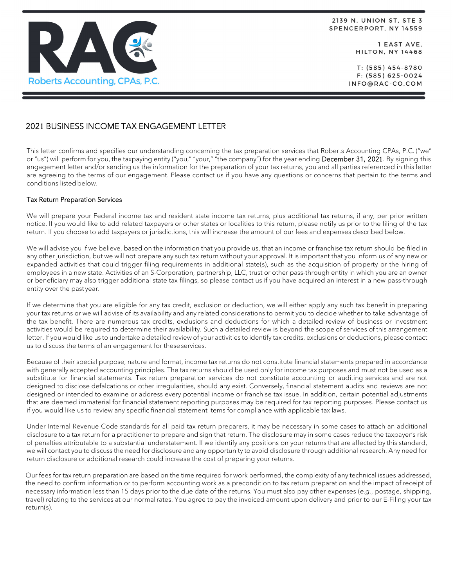

2139 N. UNION ST. STE 3 SPENCERPORT, NY 14559

> 1 EAST AVE, **HILTON, NY 14468**

T: (585) 454-8780 F: (585) 625-0024 INFO@RAC-CO.COM

# 2021 BUSINESS INCOME TAX ENGAGEMENT LETTER

This letter confirms and specifies our understanding concerning the tax preparation services that Roberts Accounting CPAs, P.C. ("we" or "us") will perform for you, the taxpaying entity ("you," "your," "the company") for the year ending December 31, 2021. By signing this engagement letter and/or sending us the information for the preparation of your tax returns, you and all parties referenced in this letter are agreeing to the terms of our engagement. Please contact us if you have any questions or concerns that pertain to the terms and conditions listed below.

#### Tax Return Preparation Services

We will prepare your Federal income tax and resident state income tax returns, plus additional tax returns, if any, per prior written notice. If you would like to add related taxpayers or other states or localities to this return, please notify us prior to the filing of the tax return. If you choose to add taxpayers or jurisdictions, this will increase the amount of our fees and expenses described below.

We will advise you if we believe, based on the information that you provide us, that an income or franchise tax return should be filed in any other jurisdiction, but we will not prepare any such tax return without your approval. It is important that you inform us of any new or expanded activities that could trigger filing requirements in additional state(s), such as the acquisition of property or the hiring of employees in a new state. Activities of an S-Corporation, partnership, LLC, trust or other pass-through entity in which you are an owner or beneficiary may also trigger additional state tax filings, so please contact us if you have acquired an interest in a new pass-through entity over the past year.

If we determine that you are eligible for any tax credit, exclusion or deduction, we will either apply any such tax benefit in preparing your tax returns or we will advise of its availability and any related considerations to permit you to decide whether to take advantage of the tax benefit. There are numerous tax credits, exclusions and deductions for which a detailed review of business or investment activities would be required to determine their availability. Such a detailed review is beyond the scope of services of this arrangement letter. If you would like us to undertake a detailed review of your activities to identify tax credits, exclusions or deductions, please contact us to discuss the terms of an engagement for these services.

Because of their special purpose, nature and format, income tax returns do not constitute financial statements prepared in accordance with generally accepted accounting principles. The tax returns should be used only for income tax purposes and must not be used as a substitute for financial statements. Tax return preparation services do not constitute accounting or auditing services and are not designed to disclose defalcations or other irregularities, should any exist. Conversely, financial statement audits and reviews are not designed or intended to examine or address every potential income or franchise tax issue. In addition, certain potential adjustments that are deemed immaterial for financial statement reporting purposes may be required for tax reporting purposes. Please contact us if you would like us to review any specific financial statement items for compliance with applicable tax laws.

Under Internal Revenue Code standards for all paid tax return preparers, it may be necessary in some cases to attach an additional disclosure to a tax return for a practitioner to prepare and sign that return. The disclosure may in some cases reduce the taxpayer's risk of penalties attributable to a substantial understatement. If we identify any positions on your returns that are affected by this standard, we will contact you to discuss the need for disclosure and any opportunity to avoid disclosure through additional research. Any need for return disclosure or additional research could increase the cost of preparing your returns.

Our fees for tax return preparation are based on the time required for work performed, the complexity of any technical issues addressed, the need to confirm information or to perform accounting work as a precondition to tax return preparation and the impact of receipt of necessary information less than 15 days prior to the due date of the returns. You must also pay other expenses (*e.g.*, postage, shipping, travel) relating to the services at our normal rates. You agree to pay the invoiced amount upon delivery and prior to our E-Filing your tax return(s).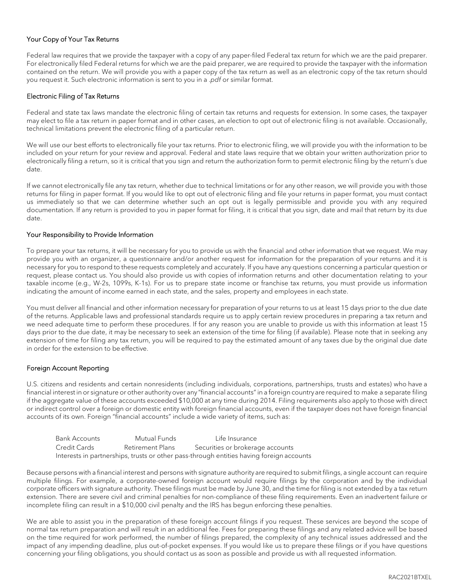## Your Copy of Your Tax Returns

Federal law requires that we provide the taxpayer with a copy of any paper-filed Federal tax return for which we are the paid preparer. For electronically filed Federal returns for which we are the paid preparer, we are required to provide the taxpayer with the information contained on the return. We will provide you with a paper copy of the tax return as well as an electronic copy of the tax return should you request it. Such electronic information is sent to you in a .*pdf* or similar format.

## Electronic Filing of Tax Returns

Federal and state tax laws mandate the electronic filing of certain tax returns and requests for extension. In some cases, the taxpayer may elect to file a tax return in paper format and in other cases, an election to opt out of electronic filing is not available. Occasionally, technical limitations prevent the electronic filing of a particular return.

We will use our best efforts to electronically file your tax returns. Prior to electronic filing, we will provide you with the information to be included on your return for your review and approval. Federal and state laws require that we obtain your written authorization prior to electronically filing a return, so it is critical that you sign and return the authorization form to permit electronic filing by the return's due date.

If we cannot electronically file any tax return, whether due to technical limitations or for any other reason, we will provide you with those returns for filing in paper format. If you would like to opt out of electronic filing and file your returns in paper format, you must contact us immediately so that we can determine whether such an opt out is legally permissible and provide you with any required documentation. If any return is provided to you in paper format for filing, it is critical that you sign, date and mail that return by its due date.

#### Your Responsibility to Provide Information

To prepare your tax returns, it will be necessary for you to provide us with the financial and other information that we request. We may provide you with an organizer, a questionnaire and/or another request for information for the preparation of your returns and it is necessary for you to respond to these requests completely and accurately. If you have any questions concerning a particular question or request, please contact us. You should also provide us with copies of information returns and other documentation relating to your taxable income (e.g., W-2s, 1099s, K-1s). For us to prepare state income or franchise tax returns, you must provide us information indicating the amount of income earned in each state, and the sales, property and employees in each state.

You must deliver all financial and other information necessary for preparation of your returns to us at least 15 days prior to the due date of the returns. Applicable laws and professional standards require us to apply certain review procedures in preparing a tax return and we need adequate time to perform these procedures. If for any reason you are unable to provide us with this information at least 15 days prior to the due date, it may be necessary to seek an extension of the time for filing (if available). Please note that in seeking any extension of time for filing any tax return, you will be required to pay the estimated amount of any taxes due by the original due date in order for the extension to be effective.

#### Foreign Account Reporting

U.S. citizens and residents and certain nonresidents (including individuals, corporations, partnerships, trusts and estates) who have a financial interest in or signature or other authority over any "financial accounts" in a foreign country are required to make a separate filing if the aggregate value of these accounts exceeded \$10,000 at any time during 2014. Filing requirements also apply to those with direct or indirect control over a foreign or domestic entity with foreign financial accounts, even if the taxpayer does not have foreign financial accounts of its own. Foreign "financial accounts" include a wide variety of items, such as:

| Bank Accounts                                                                            | Mutual Funds     | Life Insurance                   |
|------------------------------------------------------------------------------------------|------------------|----------------------------------|
| Credit Cards I                                                                           | Retirement Plans | Securities or brokerage accounts |
| Interests in partnerships, trusts or other pass-through entities having foreign accounts |                  |                                  |

Because persons with a financial interest and persons with signature authority are required to submit filings, a single account can require multiple filings. For example, a corporate-owned foreign account would require filings by the corporation and by the individual corporate officers with signature authority. These filings must be made by June 30, and the time for filing is not extended by a tax return extension. There are severe civil and criminal penalties for non-compliance of these filing requirements. Even an inadvertent failure or incomplete filing can result in a \$10,000 civil penalty and the IRS has begun enforcing these penalties.

We are able to assist you in the preparation of these foreign account filings if you request. These services are beyond the scope of normal tax return preparation and will result in an additional fee. Fees for preparing these filings and any related advice will be based on the time required for work performed, the number of filings prepared, the complexity of any technical issues addressed and the impact of any impending deadline, plus out-of-pocket expenses. If you would like us to prepare these filings or if you have questions concerning your filing obligations, you should contact us as soon as possible and provide us with all requested information.